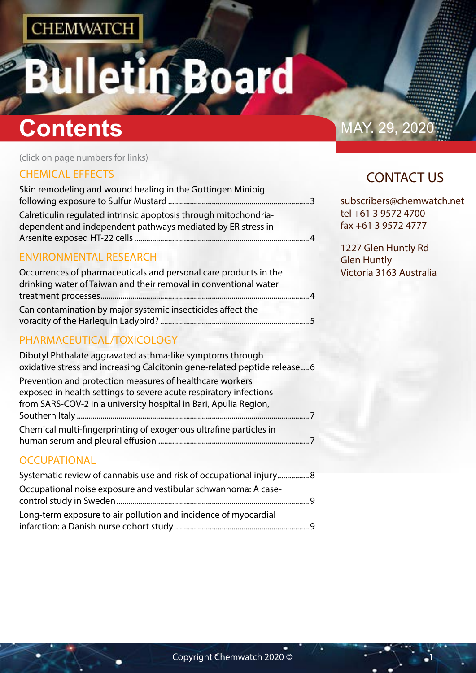# tin Board

## **Contents** MAY. 29, 2020

(click on page numbers for links)

## [CHEMICAL EFFECTS](#page-1-0)

| Skin remodeling and wound healing in the Gottingen Minipig       |  |
|------------------------------------------------------------------|--|
|                                                                  |  |
| Calreticulin regulated intrinsic apoptosis through mitochondria- |  |
| dependent and independent pathways mediated by ER stress in      |  |
|                                                                  |  |
|                                                                  |  |

### [ENVIRONMENTAL RESEARCH](#page-1-0)

| Occurrences of pharmaceuticals and personal care products in the |
|------------------------------------------------------------------|
| drinking water of Taiwan and their removal in conventional water |
| $\overline{A}$                                                   |
| Can contamination by major systemic insecticides affect the      |
|                                                                  |

## [PHARMACEUTICAL/TOXICOLOGY](#page-2-0)

| Dibutyl Phthalate aggravated asthma-like symptoms through<br>oxidative stress and increasing Calcitonin gene-related peptide release 6                                                            |
|---------------------------------------------------------------------------------------------------------------------------------------------------------------------------------------------------|
| Prevention and protection measures of healthcare workers<br>exposed in health settings to severe acute respiratory infections<br>from SARS-COV-2 in a university hospital in Bari, Apulia Region, |
| Chemical multi-fingerprinting of exogenous ultrafine particles in                                                                                                                                 |
| <b>OCCUPATIONAL</b>                                                                                                                                                                               |

| Systematic review of cannabis use and risk of occupational injury |  |
|-------------------------------------------------------------------|--|
| Occupational noise exposure and vestibular schwannoma: A case-    |  |
| Long-term exposure to air pollution and incidence of myocardial   |  |
|                                                                   |  |

## CONTACT US

subscribers@chemwatch.net tel +61 3 9572 4700 fax +61 3 9572 4777

1227 Glen Huntly Rd Glen Huntly Victoria 3163 Australia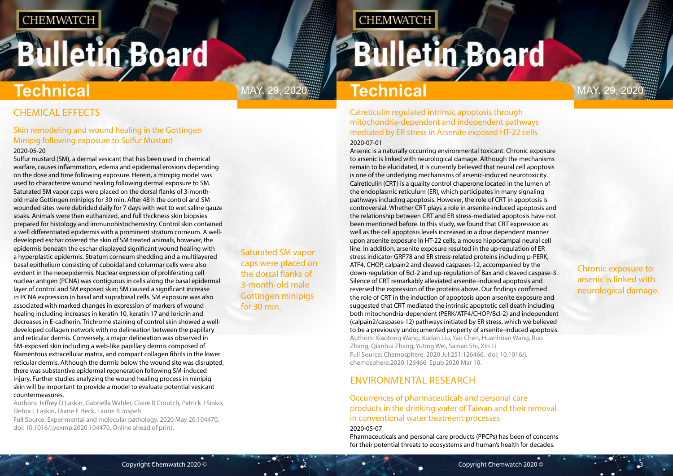## <span id="page-1-0"></span>**Bulletin Board**

Saturated SM vapor caps were placed on the dorsal flanks of 3-month-old male Gottingen minipigs for 30 min.

**CHEMWATCH** 

Chronic exposure to arsenic is linked with neurological damage.

## CHEMICAL EFFECTS

### Skin remodeling and wound healing in the Gottingen Minipig following exposure to Sulfur Mustard

#### 2020-05-20

Sulfur mustard (SM), a dermal vesicant that has been used in chemical warfare, causes inflammation, edema and epidermal erosions depending on the dose and time following exposure. Herein, a minipig model was used to characterize wound healing following dermal exposure to SM. Saturated SM vapor caps were placed on the dorsal flanks of 3-monthold male Gottingen minipigs for 30 min. After 48 h the control and SM wounded sites were debrided daily for 7 days with wet to wet saline gauze soaks. Animals were then euthanized, and full thickness skin biopsies prepared for histology and immunohistochemistry. Control skin contained a well differentiated epidermis with a prominent stratum corneum. A welldeveloped eschar covered the skin of SM treated animals, however, the epidermis beneath the eschar displayed significant wound healing with a hyperplastic epidermis. Stratum corneum shedding and a multilayered basal epithelium consisting of cuboidal and columnar cells were also evident in the neoepidermis. Nuclear expression of proliferating cell nuclear antigen (PCNA) was contiguous in cells along the basal epidermal layer of control and SM exposed skin; SM caused a significant increase in PCNA expression in basal and suprabasal cells. SM exposure was also associated with marked changes in expression of markers of wound healing including increases in keratin 10, keratin 17 and loricrin and decreases in E-cadherin. Trichrome staining of control skin showed a welldeveloped collagen network with no delineation between the papillary and reticular dermis. Conversely, a major delineation was observed in SM-exposed skin including a web-like papillary dermis composed of filamentous extracellular matrix, and compact collagen fibrils in the lower reticular dermis. Although the dermis below the wound site was disrupted, there was substantive epidermal regeneration following SM-induced injury. Further studies analyzing the wound healing process in minipig skin will be important to provide a model to evaluate potential vesicant countermeasures.

Authors: Jeffrey D Laskin, Gabriella Wahler, Claire R Croutch, Patrick J Sinko, Debra L Laskin, Diane E Heck, Laurie B Jospeh

Full Source: Experimental and molecular pathology. 2020 May 20;104470. doi: 10.1016/j.yexmp.2020.104470. Online ahead of print.

## **Technical**

MAY. 29, 2020 **Fechnical** MAY. 29, 2020

Calreticulin regulated intrinsic apoptosis through mitochondria-dependent and independent pathways mediated by ER stress in Arsenite exposed HT-22 cells 2020-07-01

Arsenic is a naturally occurring environmental toxicant. Chronic exposure to arsenic is linked with neurological damage. Although the mechanisms remain to be elucidated, it is currently believed that neural cell apoptosis is one of the underlying mechanisms of arsenic-induced neurotoxicity. Calreticulin (CRT) is a quality control chaperone located in the lumen of the endoplasmic reticulum (ER), which participates in many signaling pathways including apoptosis. However, the role of CRT in apoptosis is controversial. Whether CRT plays a role in arsenite-induced apoptosis and the relationship between CRT and ER stress-mediated apoptosis have not been mentioned before. In this study, we found that CRT expression as well as the cell apoptosis levels increased in a dose dependent manner upon arsenite exposure in HT-22 cells, a mouse hippocampal neural cell line. In addition, arsenite exposure resulted in the up-regulation of ER stress indicator GRP78 and ER stress-related proteins including p-PERK, ATF4, CHOP, calpain2 and cleaved caspases-12, accompanied by the down-regulation of Bcl-2 and up-regulation of Bax and cleaved caspase-3. Silence of CRT remarkably alleviated arsenite-induced apoptosis and reversed the expression of the proteins above. Our findings confirmed the role of CRT in the induction of apoptosis upon arsenite exposure and suggested that CRT mediated the intrinsic apoptotic cell death including both mitochondria-dependent (PERK/ATF4/CHOP/Bcl-2) and independent (calpain2/caspases-12) pathways initiated by ER stress, which we believed to be a previously undocumented property of arsenite-induced apoptosis. Authors: Xiaotong Wang, Xudan Liu, Yao Chen, Huanhuan Wang, Ruo Zhang, Qianhui Zhang, Yuting Wei, Sainan Shi, Xin Li Full Source: Chemosphere. 2020 Jul;251:126466. doi: 10.1016/j. chemosphere.2020.126466. Epub 2020 Mar 10.

## ENVIRONMENTAL RESEARCH

### Occurrences of pharmaceuticals and personal care products in the drinking water of Taiwan and their removal in conventional water treatment processes 2020-05-07

Pharmaceuticals and personal care products (PPCPs) has been of concerns for their potential threats to ecosystems and human's health for decades.

## **Bulletin Board**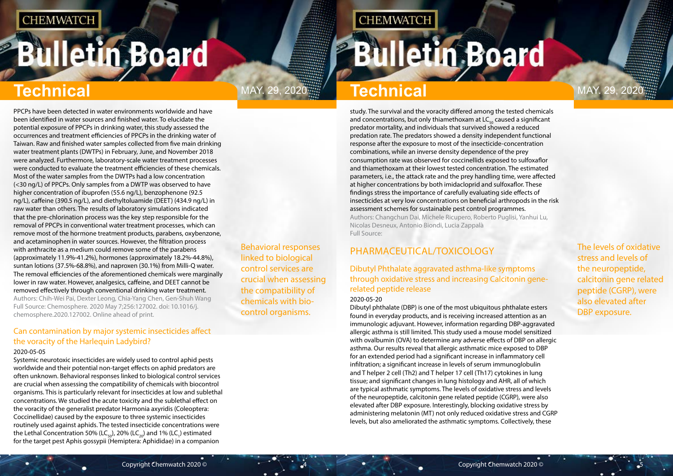# <span id="page-2-0"></span>**Bulletin Board**

Behavioral responses linked to biological control services are crucial when assessing the compatibility of chemicals with biocontrol organisms.

## MAY. 29, 2020 **May. 7echnical** May. 29, 2020

**CHEMWATCH** 

The levels of oxidative stress and levels of the neuropeptide, calcitonin gene related peptide (CGRP), were also elevated after DBP exposure.

## **Technical Technical**

PPCPs have been detected in water environments worldwide and have been identified in water sources and finished water. To elucidate the potential exposure of PPCPs in drinking water, this study assessed the occurrences and treatment efficiencies of PPCPs in the drinking water of Taiwan. Raw and finished water samples collected from five main drinking water treatment plants (DWTPs) in February, June, and November 2018 were analyzed. Furthermore, laboratory-scale water treatment processes were conducted to evaluate the treatment efficiencies of these chemicals. Most of the water samples from the DWTPs had a low concentration (<30 ng/L) of PPCPs. Only samples from a DWTP was observed to have higher concentration of ibuprofen (55.6 ng/L), benzophenone (92.5 ng/L), caffeine (390.5 ng/L), and diethyltoluamide (DEET) (434.9 ng/L) in raw water than others. The results of laboratory simulations indicated that the pre-chlorination process was the key step responsible for the removal of PPCPs in conventional water treatment processes, which can remove most of the hormone treatment products, parabens, oxybenzone, and acetaminophen in water sources. However, the filtration process with anthracite as a medium could remove some of the parabens (approximately 11.9%-41.2%), hormones (approximately 18.2%-44.8%), suntan lotions (37.5%-68.8%), and naproxen (30.1%) from Milli-Q water. The removal efficiencies of the aforementioned chemicals were marginally lower in raw water. However, analgesics, caffeine, and DEET cannot be removed effectively through conventional drinking water treatment. Authors: Chih-Wei Pai, Dexter Leong, Chia-Yang Chen, Gen-Shuh Wang Full Source: Chemosphere. 2020 May 7;256:127002. doi: 10.1016/j. chemosphere.2020.127002. Online ahead of print.

### Can contamination by major systemic insecticides affect the voracity of the Harlequin Ladybird?

### 2020-05-05

Systemic neurotoxic insecticides are widely used to control aphid pests worldwide and their potential non-target effects on aphid predators are often unknown. Behavioral responses linked to biological control services are crucial when assessing the compatibility of chemicals with biocontrol organisms. This is particularly relevant for insecticides at low and sublethal concentrations. We studied the acute toxicity and the sublethal effect on the voracity of the generalist predator Harmonia axyridis (Coleoptera: Coccinellidae) caused by the exposure to three systemic insecticides routinely used against aphids. The tested insecticide concentrations were the Lethal Concentration 50% (LC<sub>50</sub>), 20% (LC<sub>20</sub>) and 1% (LC<sub>1</sub>) estimated for the target pest Aphis gossypii (Hemiptera: Aphididae) in a companion

study. The survival and the voracity differed among the tested chemicals and concentrations, but only thiamethoxam at  $LC_{\text{eq}}$  caused a significant predator mortality, and individuals that survived showed a reduced predation rate. The predators showed a density independent functional response after the exposure to most of the insecticide-concentration combinations, while an inverse density dependence of the prey consumption rate was observed for coccinellids exposed to sulfoxaflor and thiamethoxam at their lowest tested concentration. The estimated parameters, i.e., the attack rate and the prey handling time, were affected at higher concentrations by both imidacloprid and sulfoxaflor. These findings stress the importance of carefully evaluating side effects of insecticides at very low concentrations on beneficial arthropods in the risk assessment schemes for sustainable pest control programmes. Authors: Changchun Dai, Michele Ricupero, Roberto Puglisi, Yanhui Lu, Nicolas Desneux, Antonio Biondi, Lucia Zappalà Full Source:

## PHARMACEUTICAL/TOXICOLOGY

### Dibutyl Phthalate aggravated asthma-like symptoms through oxidative stress and increasing Calcitonin generelated peptide release

#### 2020-05-20

Dibutyl phthalate (DBP) is one of the most ubiquitous phthalate esters found in everyday products, and is receiving increased attention as an immunologic adjuvant. However, information regarding DBP-aggravated allergic asthma is still limited. This study used a mouse model sensitized with ovalbumin (OVA) to determine any adverse effects of DBP on allergic asthma. Our results reveal that allergic asthmatic mice exposed to DBP for an extended period had a significant increase in inflammatory cell infiltration; a significant increase in levels of serum immunoglobulin and T helper 2 cell (Th2) and T helper 17 cell (Th17) cytokines in lung tissue; and significant changes in lung histology and AHR, all of which are typical asthmatic symptoms. The levels of oxidative stress and levels of the neuropeptide, calcitonin gene related peptide (CGRP), were also elevated after DBP exposure. Interestingly, blocking oxidative stress by administering melatonin (MT) not only reduced oxidative stress and CGRP levels, but also ameliorated the asthmatic symptoms. Collectively, these

## **Bulletin Board**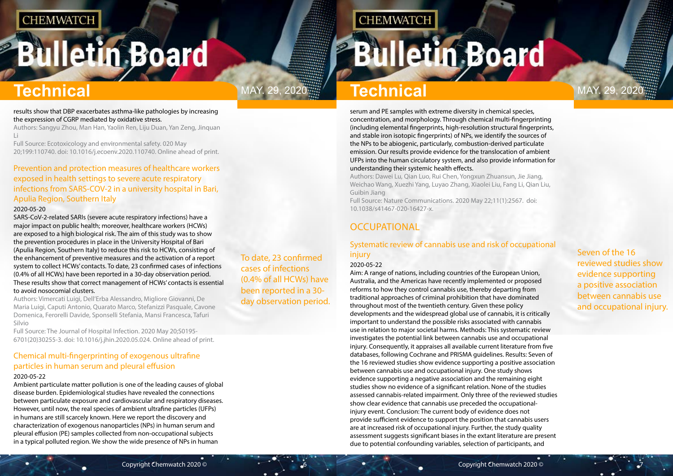## <span id="page-3-0"></span>**Bulletin Board**

## **Technical** MAY. 29, 2020<sup>11</sup> **Technical** MAY. 29, 2020

## To date, 23 confirmed cases of infections (0.4% of all HCWs) have been reported in a 30 day observation period.

**CHEMWATCH** 

Seven of the 16 reviewed studies show evidence supporting a positive association between cannabis use and occupational injury.

#### results show that DBP exacerbates asthma-like pathologies by increasing the expression of CGRP mediated by oxidative stress.

Authors: Sangyu Zhou, Man Han, Yaolin Ren, Liju Duan, Yan Zeng, Jinquan Li

Full Source: Ecotoxicology and environmental safety. 020 May 20;199:110740. doi: 10.1016/j.ecoenv.2020.110740. Online ahead of print.

### Prevention and protection measures of healthcare workers exposed in health settings to severe acute respiratory infections from SARS-COV-2 in a university hospital in Bari, Apulia Region, Southern Italy

#### 2020-05-20

SARS-CoV-2-related SARIs (severe acute respiratory infections) have a major impact on public health; moreover, healthcare workers (HCWs) are exposed to a high biological risk. The aim of this study was to show the prevention procedures in place in the University Hospital of Bari (Apulia Region, Southern Italy) to reduce this risk to HCWs, consisting of the enhancement of preventive measures and the activation of a report system to collect HCWs' contacts. To date, 23 confirmed cases of infections (0.4% of all HCWs) have been reported in a 30-day observation period. These results show that correct management of HCWs' contacts is essential to avoid nosocomial clusters.

Authors: Vimercati Luigi, Dell'Erba Alessandro, Migliore Giovanni, De Maria Luigi, Caputi Antonio, Quarato Marco, Stefanizzi Pasquale, Cavone Domenica, Ferorelli Davide, Sponselli Stefania, Mansi Francesca, Tafuri Silvio

Full Source: The Journal of Hospital Infection. 2020 May 20;S0195- 6701(20)30255-3. doi: 10.1016/j.jhin.2020.05.024. Online ahead of print.

## Chemical multi-fingerprinting of exogenous ultrafine particles in human serum and pleural effusion

#### 2020-05-22

Ambient particulate matter pollution is one of the leading causes of global disease burden. Epidemiological studies have revealed the connections between particulate exposure and cardiovascular and respiratory diseases. However, until now, the real species of ambient ultrafine particles (UFPs) in humans are still scarcely known. Here we report the discovery and characterization of exogenous nanoparticles (NPs) in human serum and pleural effusion (PE) samples collected from non-occupational subjects in a typical polluted region. We show the wide presence of NPs in human

serum and PE samples with extreme diversity in chemical species, concentration, and morphology. Through chemical multi-fingerprinting (including elemental fingerprints, high-resolution structural fingerprints, and stable iron isotopic fingerprints) of NPs, we identify the sources of the NPs to be abiogenic, particularly, combustion-derived particulate emission. Our results provide evidence for the translocation of ambient UFPs into the human circulatory system, and also provide information for understanding their systemic health effects.

Authors: Dawei Lu, Qian Luo, Rui Chen, Yongxun Zhuansun, Jie Jiang, Weichao Wang, Xuezhi Yang, Luyao Zhang, Xiaolei Liu, Fang Li, Qian Liu, Guibin Jiang

Full Source: Nature Communications. 2020 May 22;11(1):2567. doi: 10.1038/s41467-020-16427-x.

## **OCCUPATIONAL**

### Systematic review of cannabis use and risk of occupational injury

#### 2020-05-22

Aim: A range of nations, including countries of the European Union, Australia, and the Americas have recently implemented or proposed reforms to how they control cannabis use, thereby departing from traditional approaches of criminal prohibition that have dominated throughout most of the twentieth century. Given these policy developments and the widespread global use of cannabis, it is critically important to understand the possible risks associated with cannabis use in relation to major societal harms. Methods: This systematic review investigates the potential link between cannabis use and occupational injury. Consequently, it appraises all available current literature from five databases, following Cochrane and PRISMA guidelines. Results: Seven of the 16 reviewed studies show evidence supporting a positive association between cannabis use and occupational injury. One study shows evidence supporting a negative association and the remaining eight studies show no evidence of a significant relation. None of the studies assessed cannabis-related impairment. Only three of the reviewed studies show clear evidence that cannabis use preceded the occupationalinjury event. Conclusion: The current body of evidence does not provide sufficient evidence to support the position that cannabis users are at increased risk of occupational injury. Further, the study quality assessment suggests significant biases in the extant literature are present due to potential confounding variables, selection of participants, and

# **Bulletin Board**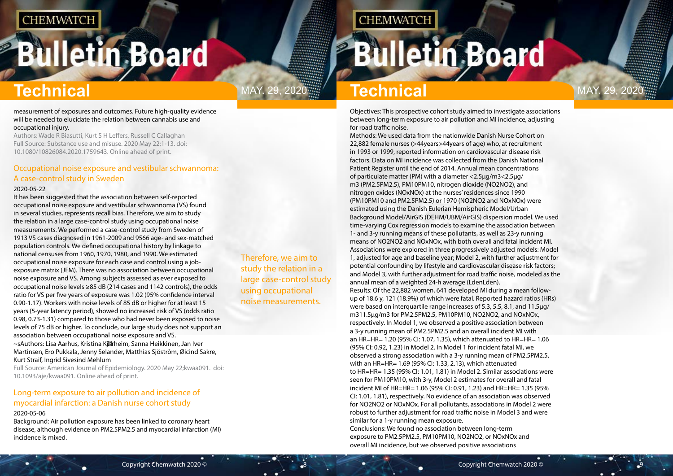## <span id="page-4-0"></span>**Bulletin Board**

Therefore, we aim to study the relation in a large case-control study using occupational noise measurements.

## **CHEMWATCH**

## **Bulletin Board**

## **Technical** MAY. 29, 2020<sup>11</sup> **Technical** MAY. 29, 2020

#### measurement of exposures and outcomes. Future high-quality evidence will be needed to elucidate the relation between cannabis use and occupational injury.

Authors: Wade R Biasutti, Kurt S H Leffers, Russell C Callaghan Full Source: Substance use and misuse. 2020 May 22;1-13. doi: 10.1080/10826084.2020.1759643. Online ahead of print.

### Occupational noise exposure and vestibular schwannoma: A case-control study in Sweden

#### 2020-05-22

It has been suggested that the association between self-reported occupational noise exposure and vestibular schwannoma (VS) found in several studies, represents recall bias. Therefore, we aim to study the relation in a large case-control study using occupational noise measurements. We performed a case-control study from Sweden of 1913 VS cases diagnosed in 1961-2009 and 9566 age- and sex-matched population controls. We defined occupational history by linkage to national censuses from 1960, 1970, 1980, and 1990. We estimated occupational noise exposure for each case and control using a jobexposure matrix (JEM). There was no association between occupational noise exposure and VS. Among subjects assessed as ever exposed to occupational noise levels ≥85 dB (214 cases and 1142 controls), the odds ratio for VS per five years of exposure was 1.02 (95% confidence interval 0.90-1.17). Workers with noise levels of 85 dB or higher for at least 15 years (5-year latency period), showed no increased risk of VS (odds ratio 0.98, 0.73-1.31) compared to those who had never been exposed to noise levels of 75 dB or higher. To conclude, our large study does not support an association between occupational noise exposure and VS. ~sAuthors: Lisa Aarhus, Kristina Kinheim, Sanna Heikkinen, Jan Iver Martinsen, Ero Pukkala, Jenny Selander, Matthias Sjöstrõm, Øicind Sakre,

#### Kurt Straif, Ingrid Sivesind Mehlum

Full Source: American Journal of Epidemiology. 2020 May 22;kwaa091. doi: 10.1093/aje/kwaa091. Online ahead of print.

### Long-term exposure to air pollution and incidence of myocardial infarction: a Danish nurse cohort study

#### 2020-05-06

Background: Air pollution exposure has been linked to coronary heart disease, although evidence on PM2.5PM2.5 and myocardial infarction (MI) incidence is mixed.

Objectives: This prospective cohort study aimed to investigate associations between long-term exposure to air pollution and MI incidence, adjusting for road traffic noise.

Methods: We used data from the nationwide Danish Nurse Cohort on 22,882 female nurses (>44years>44years of age) who, at recruitment in 1993 or 1999, reported information on cardiovascular disease risk factors. Data on MI incidence was collected from the Danish National Patient Register until the end of 2014. Annual mean concentrations of particulate matter (PM) with a diameter <2.5μg/m3<2.5μg/ m3 (PM2.5PM2.5), PM10PM10, nitrogen dioxide (NO2NO2), and nitrogen oxides (NOxNOx) at the nurses' residences since 1990 (PM10PM10 and PM2.5PM2.5) or 1970 (NO2NO2 and NOxNOx) were estimated using the Danish Eulerian Hemispheric Model/Urban Background Model/AirGIS (DEHM/UBM/AirGIS) dispersion model. We used time-varying Cox regression models to examine the association between 1- and 3-y running means of these pollutants, as well as 23-y running means of NO2NO2 and NOxNOx, with both overall and fatal incident MI. Associations were explored in three progressively adjusted models: Model 1, adjusted for age and baseline year; Model 2, with further adjustment for potential confounding by lifestyle and cardiovascular disease risk factors; and Model 3, with further adjustment for road traffic noise, modeled as the annual mean of a weighted 24-h average (LdenLden). Results: Of the 22,882 women, 641 developed MI during a mean followup of 18.6 y, 121 (18.9%) of which were fatal. Reported hazard ratios (HRs) were based on interquartile range increases of 5.3, 5.5, 8.1, and 11.5μg/ m311.5μg/m3 for PM2.5PM2.5, PM10PM10, NO2NO2, and NOxNOx, respectively. In Model 1, we observed a positive association between a 3-y running mean of PM2.5PM2.5 and an overall incident MI with an HR=HR= 1.20 (95% CI: 1.07, 1.35), which attenuated to HR=HR= 1.06 (95% CI: 0.92, 1.23) in Model 2. In Model 1 for incident fatal MI, we observed a strong association with a 3-y running mean of PM2.5PM2.5, with an HR=HR= 1.69 (95% CI: 1.33, 2.13), which attenuated to HR=HR= 1.35 (95% CI: 1.01, 1.81) in Model 2. Similar associations were seen for PM10PM10, with 3-y, Model 2 estimates for overall and fatal incident MI of HR=HR= 1.06 (95% CI: 0.91, 1.23) and HR=HR= 1.35 (95% CI: 1.01, 1.81), respectively. No evidence of an association was observed for NO2NO2 or NOxNOx. For all pollutants, associations in Model 2 were robust to further adjustment for road traffic noise in Model 3 and were similar for a 1-y running mean exposure.

Conclusions: We found no association between long-term exposure to PM2.5PM2.5, PM10PM10, NO2NO2, or NOxNOx and overall MI incidence, but we observed positive associations